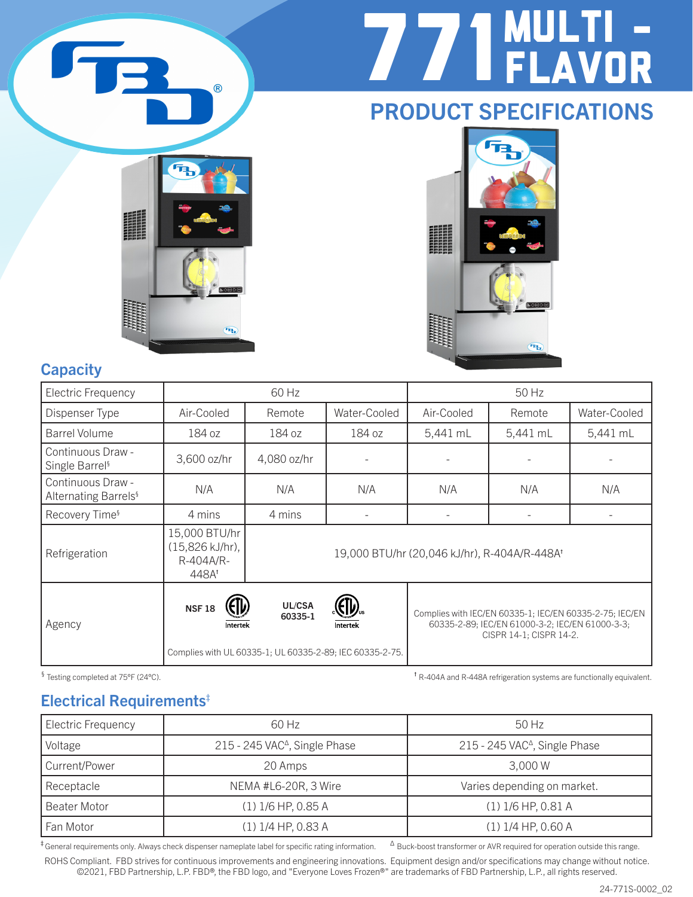

# 771 MULTI - FLAVOR

# PRODUCT SPECIFICATIONS





### **Capacity**

| Electric Frequency                                    |                                                        | 60 Hz                                                                         |              |                                              | 50 Hz                                                                                                                                 |              |
|-------------------------------------------------------|--------------------------------------------------------|-------------------------------------------------------------------------------|--------------|----------------------------------------------|---------------------------------------------------------------------------------------------------------------------------------------|--------------|
| Dispenser Type                                        | Air-Cooled                                             | Remote                                                                        | Water-Cooled | Air-Cooled                                   | Remote                                                                                                                                | Water-Cooled |
| Barrel Volume                                         | 184 oz                                                 | 184 oz                                                                        | 184 oz       | 5,441 mL                                     | 5,441 mL                                                                                                                              | 5,441 mL     |
| Continuous Draw -<br>Single Barrel <sup>§</sup>       | 3,600 oz/hr                                            | 4,080 oz/hr                                                                   |              |                                              |                                                                                                                                       |              |
| Continuous Draw -<br>Alternating Barrels <sup>§</sup> | N/A                                                    | N/A                                                                           | N/A          | N/A                                          | N/A                                                                                                                                   | N/A          |
| Recovery Time <sup>§</sup>                            | 4 mins                                                 | 4 mins                                                                        |              |                                              |                                                                                                                                       |              |
| Refrigeration                                         | 15,000 BTU/hr<br>(15,826 kJ/hr),<br>R-404A/R-<br>448At |                                                                               |              | 19,000 BTU/hr (20,046 kJ/hr), R-404A/R-448At |                                                                                                                                       |              |
| Agency                                                | <b>NSF18</b><br>Intertek                               | UL/CSA<br>60335-1<br>Complies with UL 60335-1; UL 60335-2-89; IEC 60335-2-75. | Intertek     |                                              | Complies with IEC/EN 60335-1; IEC/EN 60335-2-75; IEC/EN<br>60335-2-89; IEC/EN 61000-3-2; IEC/EN 61000-3-3;<br>CISPR 14-1; CISPR 14-2. |              |

§ Testing completed at 75°F (24°C). the R-404A refrigeration systems are functionally equivalent.

### Electrical Requirements‡

| Electric Frequency | 60 Hz                                     | $50$ Hz                                   |  |  |  |
|--------------------|-------------------------------------------|-------------------------------------------|--|--|--|
| Voltage            | 215 - 245 VAC <sup>Δ</sup> , Single Phase | 215 - 245 VAC <sup>^</sup> , Single Phase |  |  |  |
| Current/Power      | 20 Amps                                   | 3,000 W                                   |  |  |  |
| Receptacle         | NEMA #L6-20R, 3 Wire                      | Varies depending on market.               |  |  |  |
| Beater Motor       | $(1)$ 1/6 HP, 0.85 A                      | $(1)$ 1/6 HP, 0.81 A                      |  |  |  |
| Fan Motor          | $(1)$ 1/4 HP, 0.83 A                      | $(1)$ 1/4 HP, 0.60 A                      |  |  |  |

 $\pm$  General requirements only. Always check dispenser nameplate label for specific rating information.  $\Delta$  Buck-boost transformer or AVR required for operation outside this range.

ROHS Compliant. FBD strives for continuous improvements and engineering innovations. Equipment design and/or specifications may change without notice. ©2021, FBD Partnership, L.P. FBD®, the FBD logo, and "Everyone Loves Frozen®" are trademarks of FBD Partnership, L.P., all rights reserved.